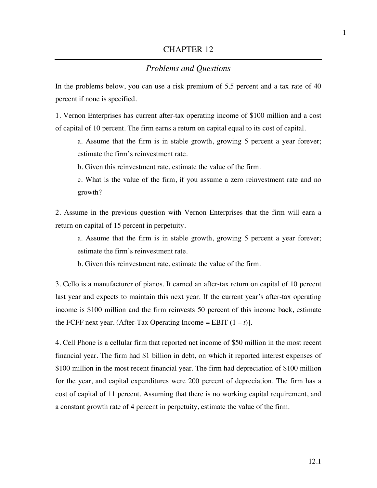## *Problems and Questions*

In the problems below, you can use a risk premium of 5.5 percent and a tax rate of 40 percent if none is specified.

1. Vernon Enterprises has current after-tax operating income of \$100 million and a cost of capital of 10 percent. The firm earns a return on capital equal to its cost of capital.

a. Assume that the firm is in stable growth, growing 5 percent a year forever; estimate the firm's reinvestment rate.

b. Given this reinvestment rate, estimate the value of the firm.

c. What is the value of the firm, if you assume a zero reinvestment rate and no growth?

2. Assume in the previous question with Vernon Enterprises that the firm will earn a return on capital of 15 percent in perpetuity.

a. Assume that the firm is in stable growth, growing 5 percent a year forever; estimate the firm's reinvestment rate.

b. Given this reinvestment rate, estimate the value of the firm.

3. Cello is a manufacturer of pianos. It earned an after-tax return on capital of 10 percent last year and expects to maintain this next year. If the current year's after-tax operating income is \$100 million and the firm reinvests 50 percent of this income back, estimate the FCFF next year. (After-Tax Operating Income = EBIT  $(1 - t)$ ).

4. Cell Phone is a cellular firm that reported net income of \$50 million in the most recent financial year. The firm had \$1 billion in debt, on which it reported interest expenses of \$100 million in the most recent financial year. The firm had depreciation of \$100 million for the year, and capital expenditures were 200 percent of depreciation. The firm has a cost of capital of 11 percent. Assuming that there is no working capital requirement, and a constant growth rate of 4 percent in perpetuity, estimate the value of the firm.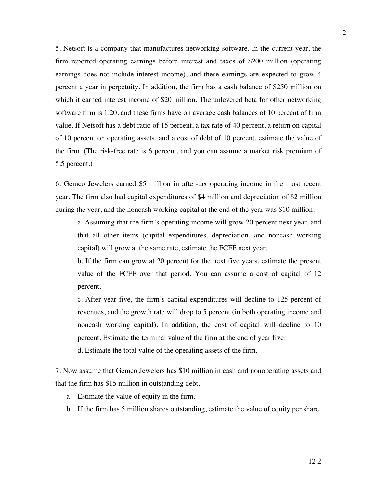5. Netsoft is a company that manufactures networking software. In the current year, the firm reported operating earnings before interest and taxes of \$200 million (operating earnings does not include interest income), and these earnings are expected to grow 4 percent a year in perpetuity. In addition, the firm has a cash balance of \$250 million on which it earned interest income of \$20 million. The unlevered beta for other networking software firm is 1.20, and these firms have on average cash balances of 10 percent of firm value. If Netsoft has a debt ratio of 15 percent, a tax rate of 40 percent, a return on capital of 10 percent on operating assets, and a cost of debt of 10 percent, estimate the value of the firm. (The risk-free rate is 6 percent, and you can assume a market risk premium of 5.5 percent.)

6. Gemco Jewelers earned \$5 million in after-tax operating income in the most recent year. The firm also had capital expenditures of \$4 million and depreciation of \$2 million during the year, and the noncash working capital at the end of the year was \$10 million.

a. Assuming that the firm's operating income will grow 20 percent next year, and that all other items (capital expenditures, depreciation, and noncash working capital) will grow at the same rate, estimate the FCFF next year.

b. If the firm can grow at 20 percent for the next five years, estimate the present value of the FCFF over that period. You can assume a cost of capital of 12 percent.

c. After year five, the firm's capital expenditures will decline to 125 percent of revenues, and the growth rate will drop to 5 percent (in both operating income and noncash working capital). In addition, the cost of capital will decline to 10 percent. Estimate the terminal value of the firm at the end of year five.

d. Estimate the total value of the operating assets of the firm.

7. Now assume that Gemco Jewelers has \$10 million in cash and nonoperating assets and that the firm has \$15 million in outstanding debt.

- a. Estimate the value of equity in the firm.
- b. If the firm has 5 million shares outstanding, estimate the value of equity per share.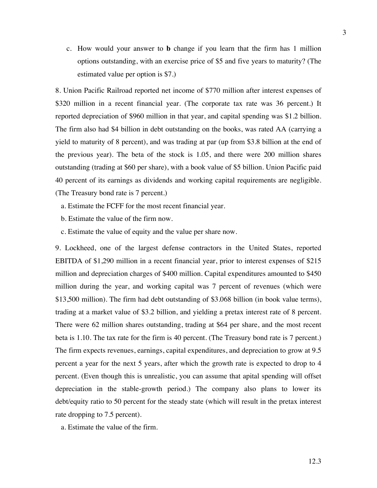c. How would your answer to **b** change if you learn that the firm has 1 million options outstanding, with an exercise price of \$5 and five years to maturity? (The estimated value per option is \$7.)

8. Union Pacific Railroad reported net income of \$770 million after interest expenses of \$320 million in a recent financial year. (The corporate tax rate was 36 percent.) It reported depreciation of \$960 million in that year, and capital spending was \$1.2 billion. The firm also had \$4 billion in debt outstanding on the books, was rated AA (carrying a yield to maturity of 8 percent), and was trading at par (up from \$3.8 billion at the end of the previous year). The beta of the stock is 1.05, and there were 200 million shares outstanding (trading at \$60 per share), with a book value of \$5 billion. Union Pacific paid 40 percent of its earnings as dividends and working capital requirements are negligible. (The Treasury bond rate is 7 percent.)

- a. Estimate the FCFF for the most recent financial year.
- b. Estimate the value of the firm now.
- c. Estimate the value of equity and the value per share now.

9. Lockheed, one of the largest defense contractors in the United States, reported EBITDA of \$1,290 million in a recent financial year, prior to interest expenses of \$215 million and depreciation charges of \$400 million. Capital expenditures amounted to \$450 million during the year, and working capital was 7 percent of revenues (which were \$13,500 million). The firm had debt outstanding of \$3.068 billion (in book value terms), trading at a market value of \$3.2 billion, and yielding a pretax interest rate of 8 percent. There were 62 million shares outstanding, trading at \$64 per share, and the most recent beta is 1.10. The tax rate for the firm is 40 percent. (The Treasury bond rate is 7 percent.) The firm expects revenues, earnings, capital expenditures, and depreciation to grow at 9.5 percent a year for the next 5 years, after which the growth rate is expected to drop to 4 percent. (Even though this is unrealistic, you can assume that apital spending will offset depreciation in the stable-growth period.) The company also plans to lower its debt/equity ratio to 50 percent for the steady state (which will result in the pretax interest rate dropping to 7.5 percent).

a. Estimate the value of the firm.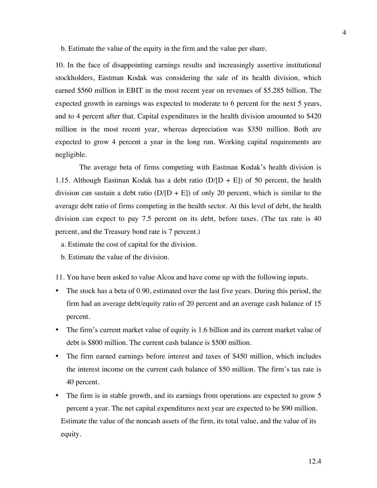b. Estimate the value of the equity in the firm and the value per share.

10. In the face of disappointing earnings results and increasingly assertive institutional stockholders, Eastman Kodak was considering the sale of its health division, which earned \$560 million in EBIT in the most recent year on revenues of \$5.285 billion. The expected growth in earnings was expected to moderate to 6 percent for the next 5 years, and to 4 percent after that. Capital expenditures in the health division amounted to \$420 million in the most recent year, whereas depreciation was \$350 million. Both are expected to grow 4 percent a year in the long run. Working capital requirements are negligible.

The average beta of firms competing with Eastman Kodak's health division is 1.15. Although Eastman Kodak has a debt ratio  $(D/[D + E])$  of 50 percent, the health division can sustain a debt ratio  $(D/(D + E))$  of only 20 percent, which is similar to the average debt ratio of firms competing in the health sector. At this level of debt, the health division can expect to pay 7.5 percent on its debt, before taxes. (The tax rate is 40 percent, and the Treasury bond rate is 7 percent.)

- a. Estimate the cost of capital for the division.
- b. Estimate the value of the division.

11. You have been asked to value Alcoa and have come up with the following inputs.

- The stock has a beta of 0.90, estimated over the last five years. During this period, the firm had an average debt/equity ratio of 20 percent and an average cash balance of 15 percent.
- The firm's current market value of equity is 1.6 billion and its current market value of debt is \$800 million. The current cash balance is \$500 million.
- The firm earned earnings before interest and taxes of \$450 million, which includes the interest income on the current cash balance of \$50 million. The firm's tax rate is 40 percent.
- The firm is in stable growth, and its earnings from operations are expected to grow 5 percent a year. The net capital expenditures next year are expected to be \$90 million. Estimate the value of the noncash assets of the firm, its total value, and the value of its equity.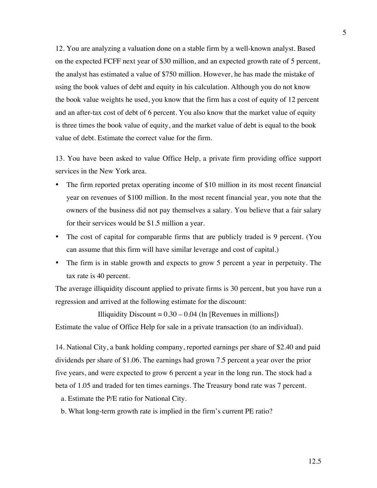12. You are analyzing a valuation done on a stable firm by a well-known analyst. Based on the expected FCFF next year of \$30 million, and an expected growth rate of 5 percent, the analyst has estimated a value of \$750 million. However, he has made the mistake of using the book values of debt and equity in his calculation. Although you do not know the book value weights he used, you know that the firm has a cost of equity of 12 percent and an after-tax cost of debt of 6 percent. You also know that the market value of equity is three times the book value of equity, and the market value of debt is equal to the book value of debt. Estimate the correct value for the firm.

13. You have been asked to value Office Help, a private firm providing office support services in the New York area.

- The firm reported pretax operating income of \$10 million in its most recent financial year on revenues of \$100 million. In the most recent financial year, you note that the owners of the business did not pay themselves a salary. You believe that a fair salary for their services would be \$1.5 million a year.
- The cost of capital for comparable firms that are publicly traded is 9 percent. (You can assume that this firm will have similar leverage and cost of capital.)
- The firm is in stable growth and expects to grow 5 percent a year in perpetuity. The tax rate is 40 percent.

The average illiquidity discount applied to private firms is 30 percent, but you have run a regression and arrived at the following estimate for the discount:

Illiquidity Discount  $= 0.30 - 0.04$  (ln [Revenues in millions]) Estimate the value of Office Help for sale in a private transaction (to an individual).

14. National City, a bank holding company, reported earnings per share of \$2.40 and paid dividends per share of \$1.06. The earnings had grown 7.5 percent a year over the prior five years, and were expected to grow 6 percent a year in the long run. The stock had a beta of 1.05 and traded for ten times earnings. The Treasury bond rate was 7 percent.

- a. Estimate the P/E ratio for National City.
- b. What long-term growth rate is implied in the firm's current PE ratio?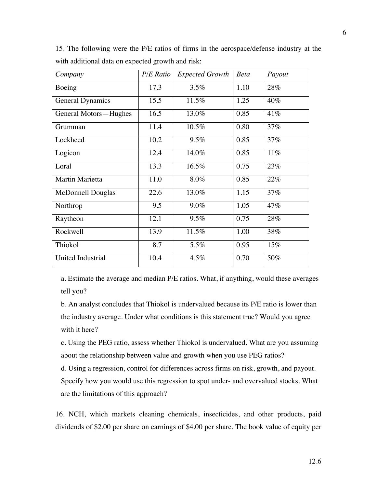| Company                  | <b>P/E</b> Ratio  | <b>Expected Growth</b> | <b>Beta</b> | Payout |
|--------------------------|-------------------|------------------------|-------------|--------|
| Boeing                   | 17.3              | 3.5%                   | 1.10        | 28%    |
| <b>General Dynamics</b>  | 15.5              | 11.5%                  | 1.25        | 40%    |
| General Motors-Hughes    | $\overline{16.5}$ | 13.0%                  | 0.85        | 41%    |
| Grumman                  | 11.4              | 10.5%                  | 0.80        | 37%    |
| Lockheed                 | 10.2              | 9.5%                   | 0.85        | 37%    |
| Logicon                  | 12.4              | 14.0%                  | 0.85        | 11%    |
| Loral                    | 13.3              | 16.5%                  | 0.75        | 23%    |
| <b>Martin Marietta</b>   | 11.0              | 8.0%                   | 0.85        | 22%    |
| <b>McDonnell Douglas</b> | 22.6              | 13.0%                  | 1.15        | 37%    |
| Northrop                 | 9.5               | 9.0%                   | 1.05        | 47%    |
| Raytheon                 | 12.1              | 9.5%                   | 0.75        | 28%    |
| Rockwell                 | 13.9              | 11.5%                  | 1.00        | 38%    |
| Thiokol                  | 8.7               | 5.5%                   | 0.95        | 15%    |
| <b>United Industrial</b> | 10.4              | 4.5%                   | 0.70        | 50%    |

15. The following were the P/E ratios of firms in the aerospace/defense industry at the with additional data on expected growth and risk:

a. Estimate the average and median P/E ratios. What, if anything, would these averages tell you?

b. An analyst concludes that Thiokol is undervalued because its P/E ratio is lower than the industry average. Under what conditions is this statement true? Would you agree with it here?

c. Using the PEG ratio, assess whether Thiokol is undervalued. What are you assuming about the relationship between value and growth when you use PEG ratios?

d. Using a regression, control for differences across firms on risk, growth, and payout. Specify how you would use this regression to spot under- and overvalued stocks. What are the limitations of this approach?

16. NCH, which markets cleaning chemicals, insecticides, and other products, paid dividends of \$2.00 per share on earnings of \$4.00 per share. The book value of equity per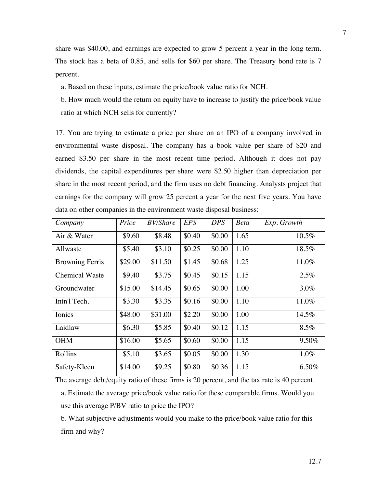share was \$40.00, and earnings are expected to grow 5 percent a year in the long term. The stock has a beta of 0.85, and sells for \$60 per share. The Treasury bond rate is 7 percent.

a. Based on these inputs, estimate the price/book value ratio for NCH.

b. How much would the return on equity have to increase to justify the price/book value ratio at which NCH sells for currently?

17. You are trying to estimate a price per share on an IPO of a company involved in environmental waste disposal. The company has a book value per share of \$20 and earned \$3.50 per share in the most recent time period. Although it does not pay dividends, the capital expenditures per share were \$2.50 higher than depreciation per share in the most recent period, and the firm uses no debt financing. Analysts project that earnings for the company will grow 25 percent a year for the next five years. You have data on other companies in the environment waste disposal business:

| Company                | Price   | <b>BV/Share</b> | <b>EPS</b> | <b>DPS</b> | <b>Beta</b> | Exp. Growth |
|------------------------|---------|-----------------|------------|------------|-------------|-------------|
| Air & Water            | \$9.60  | \$8.48          | \$0.40     | \$0.00     | 1.65        | 10.5%       |
| Allwaste               | \$5.40  | \$3.10          | \$0.25     | \$0.00     | 1.10        | 18.5%       |
| <b>Browning Ferris</b> | \$29.00 | \$11.50         | \$1.45     | \$0.68     | 1.25        | 11.0%       |
| <b>Chemical Waste</b>  | \$9.40  | \$3.75          | \$0.45     | \$0.15     | 1.15        | 2.5%        |
| Groundwater            | \$15.00 | \$14.45         | \$0.65     | \$0.00     | 1.00        | $3.0\%$     |
| Intn'l Tech.           | \$3.30  | \$3.35          | \$0.16     | \$0.00     | 1.10        | 11.0%       |
| Ionics                 | \$48.00 | \$31.00         | \$2.20     | \$0.00     | 1.00        | 14.5%       |
| Laidlaw                | \$6.30  | \$5.85          | \$0.40     | \$0.12     | 1.15        | 8.5%        |
| <b>OHM</b>             | \$16.00 | \$5.65          | \$0.60     | \$0.00     | 1.15        | 9.50%       |
| Rollins                | \$5.10  | \$3.65          | \$0.05     | \$0.00     | 1.30        | 1.0%        |
| Safety-Kleen           | \$14.00 | \$9.25          | \$0.80     | \$0.36     | 1.15        | 6.50%       |

The average debt/equity ratio of these firms is 20 percent, and the tax rate is 40 percent. a. Estimate the average price/book value ratio for these comparable firms. Would you use this average P/BV ratio to price the IPO?

b. What subjective adjustments would you make to the price/book value ratio for this firm and why?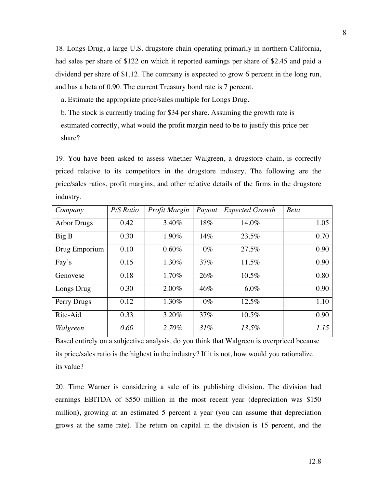18. Longs Drug, a large U.S. drugstore chain operating primarily in northern California, had sales per share of \$122 on which it reported earnings per share of \$2.45 and paid a dividend per share of \$1.12. The company is expected to grow 6 percent in the long run, and has a beta of 0.90. The current Treasury bond rate is 7 percent.

a. Estimate the appropriate price/sales multiple for Longs Drug.

b. The stock is currently trading for \$34 per share. Assuming the growth rate is estimated correctly, what would the profit margin need to be to justify this price per share?

19. You have been asked to assess whether Walgreen, a drugstore chain, is correctly priced relative to its competitors in the drugstore industry. The following are the price/sales ratios, profit margins, and other relative details of the firms in the drugstore industry.

| Company            | P/S Ratio | Profit Margin | Payout | <b>Expected Growth</b> | <b>Beta</b> |
|--------------------|-----------|---------------|--------|------------------------|-------------|
| <b>Arbor Drugs</b> | 0.42      | 3.40%         | 18%    | 14.0%                  | 1.05        |
| Big B              | 0.30      | 1.90%         | 14%    | 23.5%                  | 0.70        |
| Drug Emporium      | 0.10      | $0.60\%$      | $0\%$  | 27.5%                  | 0.90        |
| Fay's              | 0.15      | 1.30%         | 37%    | 11.5%                  | 0.90        |
| Genovese           | 0.18      | 1.70%         | 26%    | 10.5%                  | 0.80        |
| Longs Drug         | 0.30      | 2.00%         | 46%    | 6.0%                   | 0.90        |
| Perry Drugs        | 0.12      | 1.30%         | $0\%$  | 12.5%                  | 1.10        |
| Rite-Aid           | 0.33      | 3.20%         | 37%    | 10.5%                  | 0.90        |
| Walgreen           | 0.60      | 2.70%         | 31%    | 13.5%                  | 1.15        |

Based entirely on a subjective analysis, do you think that Walgreen is overpriced because its price/sales ratio is the highest in the industry? If it is not, how would you rationalize its value?

20. Time Warner is considering a sale of its publishing division. The division had earnings EBITDA of \$550 million in the most recent year (depreciation was \$150 million), growing at an estimated 5 percent a year (you can assume that depreciation grows at the same rate). The return on capital in the division is 15 percent, and the